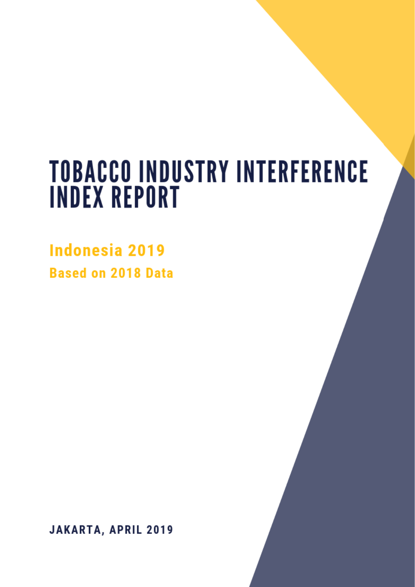# **TOBACCO INDUSTRY INDEX REPORT**

**Based on 2018 Data** 

Jakarta, April 2019

**Indonesia 2019 Based on 2018 Data** 

JAKARTA, APRIL 2019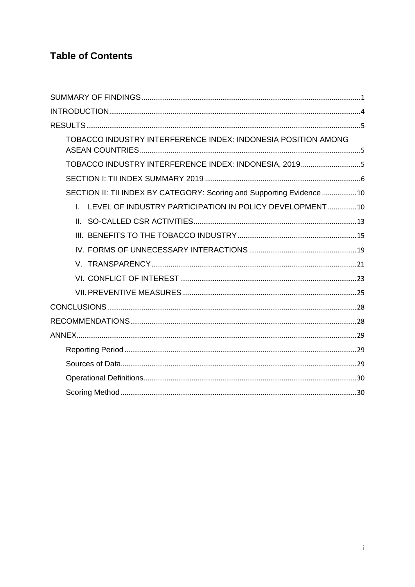# **Table of Contents**

| TOBACCO INDUSTRY INTERFERENCE INDEX: INDONESIA POSITION AMONG         |
|-----------------------------------------------------------------------|
| TOBACCO INDUSTRY INTERFERENCE INDEX: INDONESIA, 20195                 |
|                                                                       |
| SECTION II: TII INDEX BY CATEGORY: Scoring and Supporting Evidence 10 |
| I. LEVEL OF INDUSTRY PARTICIPATION IN POLICY DEVELOPMENT10            |
|                                                                       |
|                                                                       |
|                                                                       |
|                                                                       |
|                                                                       |
|                                                                       |
|                                                                       |
|                                                                       |
|                                                                       |
|                                                                       |
|                                                                       |
|                                                                       |
|                                                                       |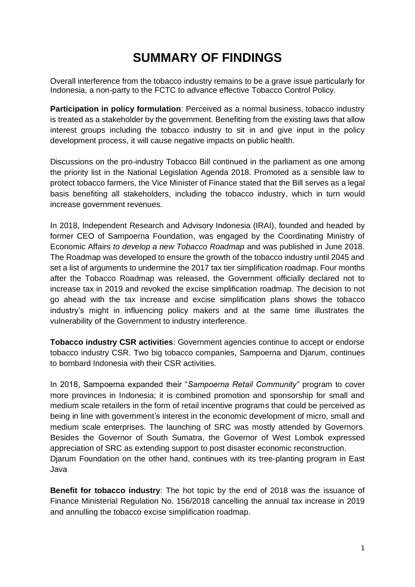# **SUMMARY OF FINDINGS**

<span id="page-2-0"></span>Overall interference from the tobacco industry remains to be a grave issue particularly for Indonesia, a non-party to the FCTC to advance effective Tobacco Control Policy.

**Participation in policy formulation**: Perceived as a normal business, tobacco industry is treated as a stakeholder by the government. Benefiting from the existing laws that allow interest groups including the tobacco industry to sit in and give input in the policy development process, it will cause negative impacts on public health.

Discussions on the pro-industry Tobacco Bill continued in the parliament as one among the priority list in the National Legislation Agenda 2018. Promoted as a sensible law to protect tobacco farmers, the Vice Minister of Finance stated that the Bill serves as a legal basis benefiting all stakeholders, including the tobacco industry, which in turn would increase government revenues.

In 2018, Independent Research and Advisory Indonesia (IRAI), founded and headed by former CEO of Sampoerna Foundation, was engaged by the Coordinating Ministry of Economic Affairs *to develop a new Tobacco Roadmap* and was published in June 2018. The Roadmap was developed to ensure the growth of the tobacco industry until 2045 and set a list of arguments to undermine the 2017 tax tier simplification roadmap. Four months after the Tobacco Roadmap was released, the Government officially declared not to increase tax in 2019 and revoked the excise simplification roadmap. The decision to not go ahead with the tax increase and excise simplification plans shows the tobacco industry's might in influencing policy makers and at the same time illustrates the vulnerability of the Government to industry interference.

**Tobacco industry CSR activities**: Government agencies continue to accept or endorse tobacco industry CSR. Two big tobacco companies, Sampoerna and Djarum, continues to bombard Indonesia with their CSR activities.

In 2018, Sampoerna expanded their "*Sampoerna Retail Community"* program to cover more provinces in Indonesia; it is combined promotion and sponsorship for small and medium scale retailers in the form of retail incentive programs that could be perceived as being in line with government's interest in the economic development of micro, small and medium scale enterprises. The launching of SRC was mostly attended by Governors. Besides the Governor of South Sumatra, the Governor of West Lombok expressed appreciation of SRC as extending support to post disaster economic reconstruction. Djarum Foundation on the other hand, continues with its tree-planting program in East Java

**Benefit for tobacco industry**: The hot topic by the end of 2018 was the issuance of Finance Ministerial Regulation No. 156/2018 cancelling the annual tax increase in 2019 and annulling the tobacco excise simplification roadmap.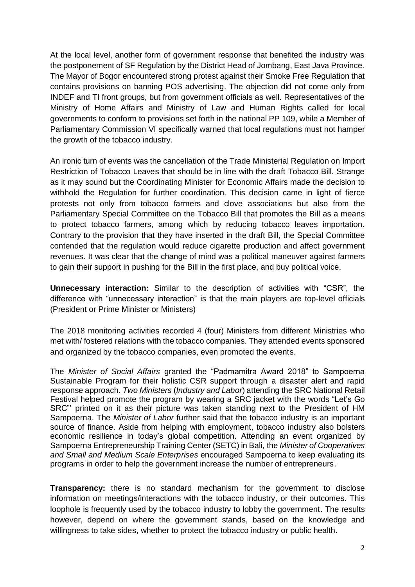At the local level, another form of government response that benefited the industry was the postponement of SF Regulation by the District Head of Jombang, East Java Province. The Mayor of Bogor encountered strong protest against their Smoke Free Regulation that contains provisions on banning POS advertising. The objection did not come only from INDEF and TI front groups, but from government officials as well. Representatives of the Ministry of Home Affairs and Ministry of Law and Human Rights called for local governments to conform to provisions set forth in the national PP 109, while a Member of Parliamentary Commission VI specifically warned that local regulations must not hamper the growth of the tobacco industry.

An ironic turn of events was the cancellation of the Trade Ministerial Regulation on Import Restriction of Tobacco Leaves that should be in line with the draft Tobacco Bill. Strange as it may sound but the Coordinating Minister for Economic Affairs made the decision to withhold the Regulation for further coordination. This decision came in light of fierce protests not only from tobacco farmers and clove associations but also from the Parliamentary Special Committee on the Tobacco Bill that promotes the Bill as a means to protect tobacco farmers, among which by reducing tobacco leaves importation. Contrary to the provision that they have inserted in the draft Bill, the Special Committee contended that the regulation would reduce cigarette production and affect government revenues. It was clear that the change of mind was a political maneuver against farmers to gain their support in pushing for the Bill in the first place, and buy political voice.

**Unnecessary interaction:** Similar to the description of activities with "CSR", the difference with "unnecessary interaction" is that the main players are top-level officials (President or Prime Minister or Ministers)

The 2018 monitoring activities recorded 4 (four) Ministers from different Ministries who met with/ fostered relations with the tobacco companies. They attended events sponsored and organized by the tobacco companies, even promoted the events.

The *Minister of Social Affairs* granted the "Padmamitra Award 2018" to Sampoerna Sustainable Program for their holistic CSR support through a disaster alert and rapid response approach. *Two Ministers* (*Industry and Labor*) attending the SRC National Retail Festival helped promote the program by wearing a SRC jacket with the words "Let's Go SRC"' printed on it as their picture was taken standing next to the President of HM Sampoerna. The *Minister of Labor* further said that the tobacco industry is an important source of finance. Aside from helping with employment, tobacco industry also bolsters economic resilience in today's global competition. Attending an event organized by Sampoerna Entrepreneurship Training Center (SETC) in Bali, the *Minister of Cooperatives and Small and Medium Scale Enterprises* encouraged Sampoerna to keep evaluating its programs in order to help the government increase the number of entrepreneurs.

**Transparency:** there is no standard mechanism for the government to disclose information on meetings/interactions with the tobacco industry, or their outcomes. This loophole is frequently used by the tobacco industry to lobby the government. The results however, depend on where the government stands, based on the knowledge and willingness to take sides, whether to protect the tobacco industry or public health.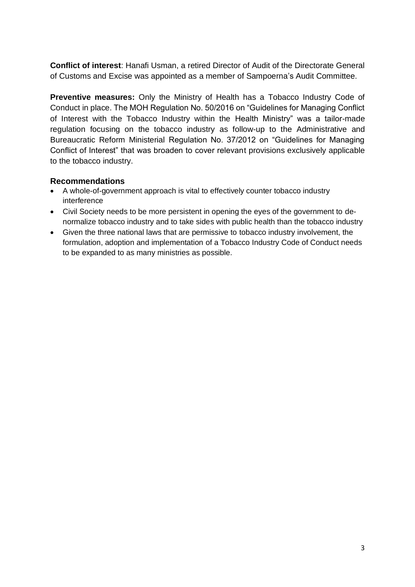**Conflict of interest**: Hanafi Usman, a retired Director of Audit of the Directorate General of Customs and Excise was appointed as a member of Sampoerna's Audit Committee.

**Preventive measures:** Only the Ministry of Health has a Tobacco Industry Code of Conduct in place. The MOH Regulation No. 50/2016 on "Guidelines for Managing Conflict of Interest with the Tobacco Industry within the Health Ministry" was a tailor-made regulation focusing on the tobacco industry as follow-up to the Administrative and Bureaucratic Reform Ministerial Regulation No. 37/2012 on "Guidelines for Managing Conflict of Interest" that was broaden to cover relevant provisions exclusively applicable to the tobacco industry.

### **Recommendations**

- A whole-of-government approach is vital to effectively counter tobacco industry interference
- Civil Society needs to be more persistent in opening the eyes of the government to denormalize tobacco industry and to take sides with public health than the tobacco industry
- Given the three national laws that are permissive to tobacco industry involvement, the formulation, adoption and implementation of a Tobacco Industry Code of Conduct needs to be expanded to as many ministries as possible.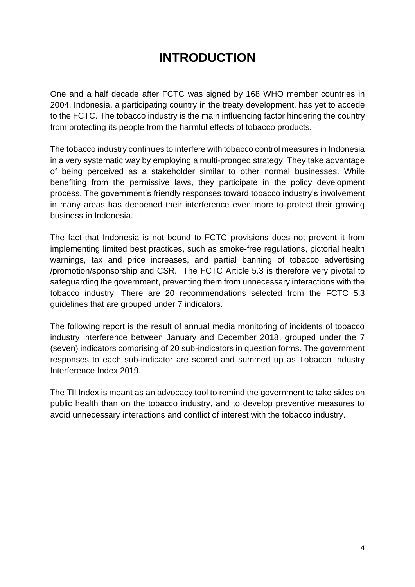# **INTRODUCTION**

<span id="page-5-0"></span>One and a half decade after FCTC was signed by 168 WHO member countries in 2004, Indonesia, a participating country in the treaty development, has yet to accede to the FCTC. The tobacco industry is the main influencing factor hindering the country from protecting its people from the harmful effects of tobacco products.

The tobacco industry continues to interfere with tobacco control measures in Indonesia in a very systematic way by employing a multi-pronged strategy. They take advantage of being perceived as a stakeholder similar to other normal businesses. While benefiting from the permissive laws, they participate in the policy development process. The government's friendly responses toward tobacco industry's involvement in many areas has deepened their interference even more to protect their growing business in Indonesia.

The fact that Indonesia is not bound to FCTC provisions does not prevent it from implementing limited best practices, such as smoke-free regulations, pictorial health warnings, tax and price increases, and partial banning of tobacco advertising /promotion/sponsorship and CSR. The FCTC Article 5.3 is therefore very pivotal to safeguarding the government, preventing them from unnecessary interactions with the tobacco industry. There are 20 recommendations selected from the FCTC 5.3 guidelines that are grouped under 7 indicators.

The following report is the result of annual media monitoring of incidents of tobacco industry interference between January and December 2018, grouped under the 7 (seven) indicators comprising of 20 sub-indicators in question forms. The government responses to each sub-indicator are scored and summed up as Tobacco Industry Interference Index 2019.

The TII Index is meant as an advocacy tool to remind the government to take sides on public health than on the tobacco industry, and to develop preventive measures to avoid unnecessary interactions and conflict of interest with the tobacco industry.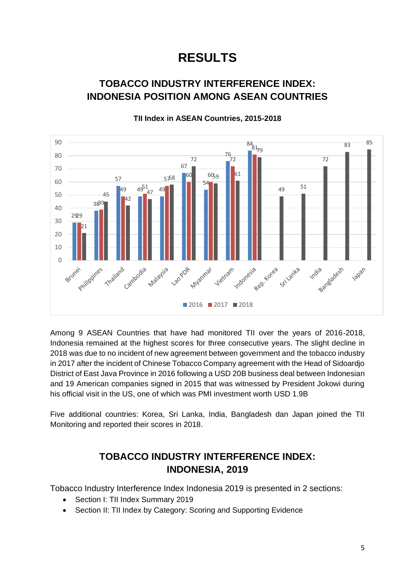# **RESULTS**

# <span id="page-6-1"></span><span id="page-6-0"></span>**TOBACCO INDUSTRY INTERFERENCE INDEX: INDONESIA POSITION AMONG ASEAN COUNTRIES**



# **TII Index in ASEAN Countries, 2015-2018**

Among 9 ASEAN Countries that have had monitored TII over the years of 2016-2018, Indonesia remained at the highest scores for three consecutive years. The slight decline in 2018 was due to no incident of new agreement between government and the tobacco industry in 2017 after the incident of Chinese Tobacco Company agreement with the Head of Sidoardjo District of East Java Province in 2016 following a USD 20B business deal between Indonesian and 19 American companies signed in 2015 that was witnessed by President Jokowi during his official visit in the US, one of which was PMI investment worth USD 1.9B

Five additional countries: Korea, Sri Lanka, India, Bangladesh dan Japan joined the TII Monitoring and reported their scores in 2018.

# **TOBACCO INDUSTRY INTERFERENCE INDEX: INDONESIA, 2019**

<span id="page-6-2"></span>Tobacco Industry Interference Index Indonesia 2019 is presented in 2 sections:

- Section I: TII Index Summary 2019
- Section II: TII Index by Category: Scoring and Supporting Evidence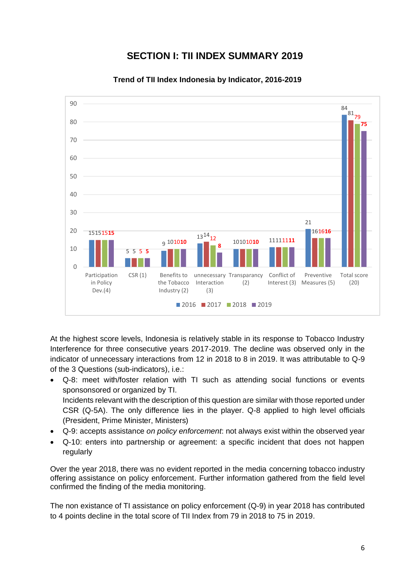# **SECTION I: TII INDEX SUMMARY 2019**

<span id="page-7-0"></span>

**Trend of TII Index Indonesia by Indicator, 2016-2019**

At the highest score levels, Indonesia is relatively stable in its response to Tobacco Industry Interference for three consecutive years 2017-2019. The decline was observed only in the indicator of unnecessary interactions from 12 in 2018 to 8 in 2019. It was attributable to Q-9 of the 3 Questions (sub-indicators), i.e.:

- Q-8: meet with/foster relation with TI such as attending social functions or events sponsonsored or organized by TI. Incidents relevant with the description of this question are similar with those reported under CSR (Q-5A). The only difference lies in the player. Q-8 applied to high level officials (President, Prime Minister, Ministers)
- Q-9: accepts assistance *on policy enforcement*: not always exist within the observed year
- Q-10: enters into partnership or agreement: a specific incident that does not happen regularly

Over the year 2018, there was no evident reported in the media concerning tobacco industry offering assistance on policy enforcement. Further information gathered from the field level confirmed the finding of the media monitoring.

The non existance of TI assistance on policy enforcement (Q-9) in year 2018 has contributed to 4 points decline in the total score of TII Index from 79 in 2018 to 75 in 2019.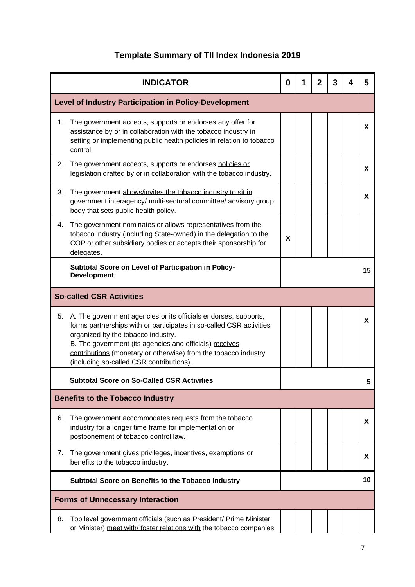# **Template Summary of TII Index Indonesia 2019**

|    | <b>INDICATOR</b>                                                                                                                                                                                                                                                                                                                                       | $\bf{0}$ | 1 | $\mathbf{2}$ | 3 | 5        |
|----|--------------------------------------------------------------------------------------------------------------------------------------------------------------------------------------------------------------------------------------------------------------------------------------------------------------------------------------------------------|----------|---|--------------|---|----------|
|    | <b>Level of Industry Participation in Policy-Development</b>                                                                                                                                                                                                                                                                                           |          |   |              |   |          |
| 1. | The government accepts, supports or endorses any offer for<br>assistance by or in collaboration with the tobacco industry in<br>setting or implementing public health policies in relation to tobacco<br>control.                                                                                                                                      |          |   |              |   | <b>X</b> |
| 2. | The government accepts, supports or endorses policies or<br>legislation drafted by or in collaboration with the tobacco industry.                                                                                                                                                                                                                      |          |   |              |   | X        |
| 3. | The government allows/invites the tobacco industry to sit in<br>government interagency/ multi-sectoral committee/ advisory group<br>body that sets public health policy.                                                                                                                                                                               |          |   |              |   | X        |
| 4. | The government nominates or allows representatives from the<br>tobacco industry (including State-owned) in the delegation to the<br>COP or other subsidiary bodies or accepts their sponsorship for<br>delegates.                                                                                                                                      | X        |   |              |   |          |
|    | Subtotal Score on Level of Participation in Policy-<br><b>Development</b>                                                                                                                                                                                                                                                                              |          |   |              |   | 15       |
|    | <b>So-called CSR Activities</b>                                                                                                                                                                                                                                                                                                                        |          |   |              |   |          |
| 5. | A. The government agencies or its officials endorses, supports,<br>forms partnerships with or participates in so-called CSR activities<br>organized by the tobacco industry.<br>B. The government (its agencies and officials) receives<br>contributions (monetary or otherwise) from the tobacco industry<br>(including so-called CSR contributions). |          |   |              |   | X        |
|    | <b>Subtotal Score on So-Called CSR Activities</b>                                                                                                                                                                                                                                                                                                      |          |   |              |   | 5        |
|    | <b>Benefits to the Tobacco Industry</b>                                                                                                                                                                                                                                                                                                                |          |   |              |   |          |
| 6. | The government accommodates requests from the tobacco<br>industry for a longer time frame for implementation or<br>postponement of tobacco control law.                                                                                                                                                                                                |          |   |              |   | X        |
| 7. | The government gives privileges, incentives, exemptions or<br>benefits to the tobacco industry.                                                                                                                                                                                                                                                        |          |   |              |   | X.       |
|    | Subtotal Score on Benefits to the Tobacco Industry                                                                                                                                                                                                                                                                                                     |          |   |              |   | 10       |
|    | <b>Forms of Unnecessary Interaction</b>                                                                                                                                                                                                                                                                                                                |          |   |              |   |          |
| 8. | Top level government officials (such as President/ Prime Minister<br>or Minister) meet with/ foster relations with the tobacco companies                                                                                                                                                                                                               |          |   |              |   |          |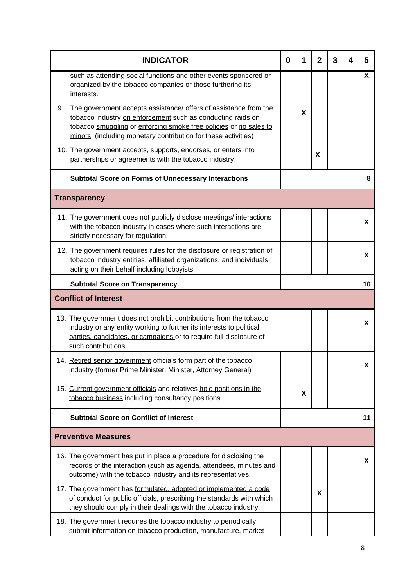| <b>INDICATOR</b>                                                                                                                                                                                                                                                             | 0 | 1 | $\mathbf 2$ | 3 | 4 | 5        |
|------------------------------------------------------------------------------------------------------------------------------------------------------------------------------------------------------------------------------------------------------------------------------|---|---|-------------|---|---|----------|
| such as attending social functions and other events sponsored or<br>organized by the tobacco companies or those furthering its<br>interests.                                                                                                                                 |   |   |             |   |   | Χ        |
| The government accepts assistance/ offers of assistance from the<br>9.<br>tobacco industry on enforcement such as conducting raids on<br>tobacco smuggling or enforcing smoke free policies or no sales to<br>minors. (including monetary contribution for these activities) |   | X |             |   |   |          |
| 10. The government accepts, supports, endorses, or enters into<br>partnerships or agreements with the tobacco industry.                                                                                                                                                      |   |   | X           |   |   |          |
| <b>Subtotal Score on Forms of Unnecessary Interactions</b>                                                                                                                                                                                                                   |   |   |             |   |   | 8        |
| <b>Transparency</b>                                                                                                                                                                                                                                                          |   |   |             |   |   |          |
| 11. The government does not publicly disclose meetings/interactions<br>with the tobacco industry in cases where such interactions are<br>strictly necessary for regulation.                                                                                                  |   |   |             |   |   | <b>X</b> |
| 12. The government requires rules for the disclosure or registration of<br>tobacco industry entities, affiliated organizations, and individuals<br>acting on their behalf including lobbyists                                                                                |   |   |             |   |   | X        |
| <b>Subtotal Score on Transparency</b>                                                                                                                                                                                                                                        |   |   |             |   |   | 10       |
| <b>Conflict of Interest</b>                                                                                                                                                                                                                                                  |   |   |             |   |   |          |
| 13. The government does not prohibit contributions from the tobacco<br>industry or any entity working to further its interests to political<br>parties, candidates, or campaigns or to require full disclosure of<br>such contributions.                                     |   |   |             |   |   | X.       |
| 14. Retired senior government officials form part of the tobacco<br>industry (former Prime Minister, Minister, Attorney General)                                                                                                                                             |   |   |             |   |   | X.       |
| 15. Current government officials and relatives hold positions in the<br>tobacco business including consultancy positions.                                                                                                                                                    |   | X |             |   |   |          |
| <b>Subtotal Score on Conflict of Interest</b>                                                                                                                                                                                                                                |   |   |             |   |   | 11       |
| <b>Preventive Measures</b>                                                                                                                                                                                                                                                   |   |   |             |   |   |          |
| 16. The government has put in place a procedure for disclosing the<br>records of the interaction (such as agenda, attendees, minutes and<br>outcome) with the tobacco industry and its representatives.                                                                      |   |   |             |   |   | X.       |
| 17. The government has formulated, adopted or implemented a code<br>of conduct for public officials, prescribing the standards with which<br>they should comply in their dealings with the tobacco industry.                                                                 |   |   | X           |   |   |          |
| 18. The government requires the tobacco industry to periodically<br>submit information on tobacco production, manufacture, market                                                                                                                                            |   |   |             |   |   |          |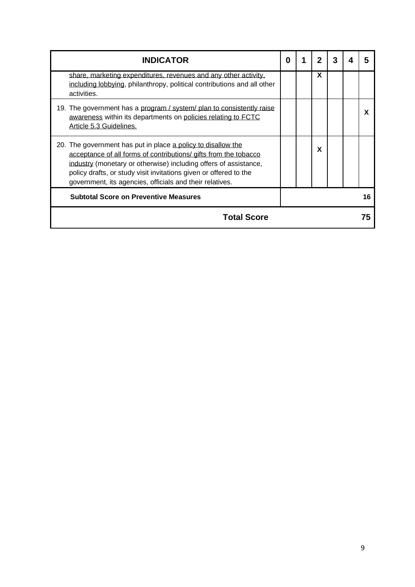| <b>INDICATOR</b>                                                                                                                                                                                                                                                                                                                      | 0 |   |  |    |
|---------------------------------------------------------------------------------------------------------------------------------------------------------------------------------------------------------------------------------------------------------------------------------------------------------------------------------------|---|---|--|----|
| share, marketing expenditures, revenues and any other activity,<br>including lobbying, philanthropy, political contributions and all other<br>activities.                                                                                                                                                                             |   | X |  |    |
| 19. The government has a program / system/ plan to consistently raise<br>awareness within its departments on policies relating to FCTC<br>Article 5.3 Guidelines.                                                                                                                                                                     |   |   |  | X  |
| 20. The government has put in place a policy to disallow the<br>acceptance of all forms of contributions/ gifts from the tobacco<br>industry (monetary or otherwise) including offers of assistance,<br>policy drafts, or study visit invitations given or offered to the<br>government, its agencies, officials and their relatives. |   | X |  |    |
| <b>Subtotal Score on Preventive Measures</b>                                                                                                                                                                                                                                                                                          |   |   |  | 16 |
| <b>Total Score</b>                                                                                                                                                                                                                                                                                                                    |   |   |  | 75 |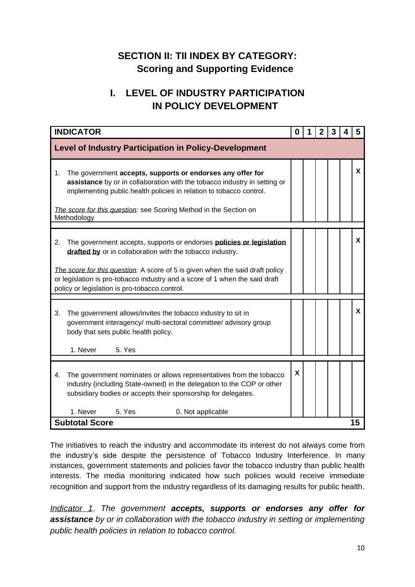# <span id="page-11-0"></span>**SECTION II: TII INDEX BY CATEGORY: Scoring and Supporting Evidence**

# **I. LEVEL OF INDUSTRY PARTICIPATION IN POLICY DEVELOPMENT**

<span id="page-11-1"></span>

| <b>INDICATOR</b>                                                                                                                                                                                                                                                                                                                                                | 0 | 2 | З | 5  |
|-----------------------------------------------------------------------------------------------------------------------------------------------------------------------------------------------------------------------------------------------------------------------------------------------------------------------------------------------------------------|---|---|---|----|
| <b>Level of Industry Participation in Policy-Development</b>                                                                                                                                                                                                                                                                                                    |   |   |   |    |
| The government accepts, supports or endorses any offer for<br>1.<br>assistance by or in collaboration with the tobacco industry in setting or<br>implementing public health policies in relation to tobacco control.<br>The score for this question: see Scoring Method in the Section on<br>Methodology                                                        |   |   |   | X  |
| The government accepts, supports or endorses <b>policies or legislation</b><br>2.<br>drafted by or in collaboration with the tobacco industry.<br>The score for this question: A score of 5 is given when the said draft policy<br>or legislation is pro-tobacco industry and a score of 1 when the said draft<br>policy or legislation is pro-tobacco control. |   |   |   | X  |
| The government allows/invites the tobacco industry to sit in<br>3.<br>government interagency/ multi-sectoral committee/ advisory group<br>body that sets public health policy.<br>1. Never<br>5. Yes                                                                                                                                                            |   |   |   | X  |
| The government nominates or allows representatives from the tobacco<br>4.<br>industry (including State-owned) in the delegation to the COP or other<br>subsidiary bodies or accepts their sponsorship for delegates.<br>1. Never<br>5. Yes<br>0. Not applicable                                                                                                 | X |   |   |    |
| <b>Subtotal Score</b>                                                                                                                                                                                                                                                                                                                                           |   |   |   | 15 |

The initiatives to reach the industry and accommodate its interest do not always come from the industry's side despite the persistence of Tobacco Industry Interference. In many instances, government statements and policies favor the tobacco industry than public health interests. The media monitoring indicated how such policies would receive immediate recognition and support from the industry regardless of its damaging results for public health.

*Indicator 1*. *The government accepts, supports or endorses any offer for assistance by or in collaboration with the tobacco industry in setting or implementing public health policies in relation to tobacco control.*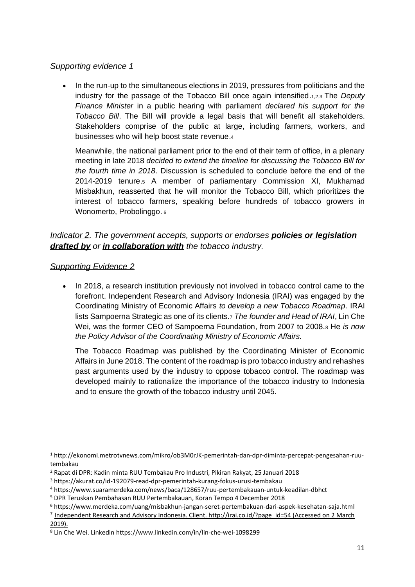#### *Supporting evidence 1*

• In the run-up to the simultaneous elections in 2019, pressures from politicians and the industry for the passage of the Tobacco Bill once again intensified.1,2,3 The *Deputy Finance Minister* in a public hearing with parliament *declared his support for the Tobacco Bill*. The Bill will provide a legal basis that will benefit all stakeholders. Stakeholders comprise of the public at large, including farmers, workers, and businesses who will help boost state revenue.<sup>4</sup>

Meanwhile, the national parliament prior to the end of their term of office, in a plenary meeting in late 2018 *decided to extend the timeline for discussing the Tobacco Bill for the fourth time in 2018*. Discussion is scheduled to conclude before the end of the 2014-2019 tenure.<sup>5</sup> A member of parliamentary Commission XI, Mukhamad Misbakhun, reasserted that he will monitor the Tobacco Bill, which prioritizes the interest of tobacco farmers, speaking before hundreds of tobacco growers in Wonomerto, Probolinggo. 6

# *Indicator 2. The government accepts, supports or endorses policies or legislation drafted by or in collaboration with the tobacco industry.*

#### *Supporting Evidence 2*

• In 2018, a research institution previously not involved in tobacco control came to the forefront. Independent Research and Advisory Indonesia (IRAI) was engaged by the Coordinating Ministry of Economic Affairs *to develop a new Tobacco Roadmap*. IRAI lists Sampoerna Strategic as one of its clients.<sup>7</sup> *The founder and Head of IRAI*, Lin Che Wei, was the former CEO of Sampoerna Foundation, from 2007 to 2008.<sup>8</sup> He *is now the Policy Advisor of the Coordinating Ministry of Economic Affairs.* 

The Tobacco Roadmap was published by the Coordinating Minister of Economic Affairs in June 2018. The content of the roadmap is pro tobacco industry and rehashes past arguments used by the industry to oppose tobacco control. The roadmap was developed mainly to rationalize the importance of the tobacco industry to Indonesia and to ensure the growth of the tobacco industry until 2045.

<sup>1</sup> http://ekonomi.metrotvnews.com/mikro/ob3M0rJK-pemerintah-dan-dpr-diminta-percepat-pengesahan-ruutembakau

<sup>2</sup> Rapat di DPR: Kadin minta RUU Tembakau Pro Industri, Pikiran Rakyat, 25 Januari 2018

<sup>3</sup> https://akurat.co/id-192079-read-dpr-pemerintah-kurang-fokus-urusi-tembakau

<sup>4</sup> https://www.suaramerdeka.com/news/baca/128657/ruu-pertembakauan-untuk-keadilan-dbhct

<sup>5</sup> [DPR Teruskan Pembahasan RUU Pertembakauan,](https://photos.app.goo.gl/AHqw5nishufG6qD3A) Koran Tempo 4 December 2018

<sup>6</sup> https://www.merdeka.com/uang/misbakhun-jangan-seret-pertembakuan-dari-aspek-kesehatan-saja.html

<sup>&</sup>lt;sup>7</sup> Independent Research and Advisory Indonesia. Client. http://irai.co.id/?page\_id=54 (Accessed on 2 March 2019).

<sup>8</sup> Lin Che Wei. Linkedin https://www.linkedin.com/in/lin-che-wei-1098299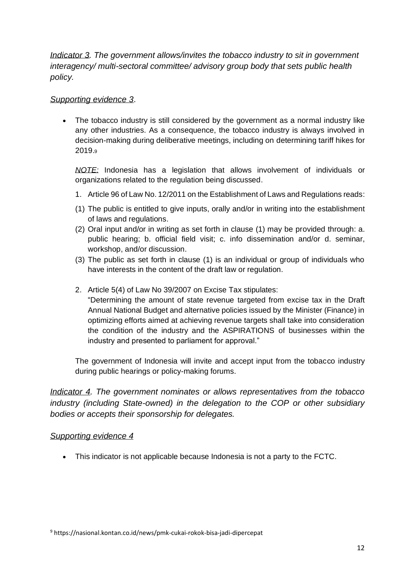*Indicator 3. The government allows/invites the tobacco industry to sit in government interagency/ multi-sectoral committee/ advisory group body that sets public health policy.* 

### *Supporting evidence 3*.

• The tobacco industry is still considered by the government as a normal industry like any other industries. As a consequence, the tobacco industry is always involved in decision-making during deliberative meetings, including on determining tariff hikes for 2019.<sup>9</sup>

*NOTE:* Indonesia has a legislation that allows involvement of individuals or organizations related to the regulation being discussed.

- 1. Article 96 of Law No. 12/2011 on the Establishment of Laws and Regulations reads:
- (1) The public is entitled to give inputs, orally and/or in writing into the establishment of laws and regulations.
- (2) Oral input and/or in writing as set forth in clause (1) may be provided through: a. public hearing; b. official field visit; c. info dissemination and/or d. seminar, workshop, and/or discussion.
- (3) The public as set forth in clause (1) is an individual or group of individuals who have interests in the content of the draft law or regulation.
- 2. Article 5(4) of Law No 39/2007 on Excise Tax stipulates:

"Determining the amount of state revenue targeted from excise tax in the Draft Annual National Budget and alternative policies issued by the Minister (Finance) in optimizing efforts aimed at achieving revenue targets shall take into consideration the condition of the industry and the ASPIRATIONS of businesses within the industry and presented to parliament for approval."

The government of Indonesia will invite and accept input from the tobacco industry during public hearings or policy-making forums.

*Indicator 4. The government nominates or allows representatives from the tobacco industry (including State-owned) in the delegation to the COP or other subsidiary bodies or accepts their sponsorship for delegates.* 

# *Supporting evidence 4*

• This indicator is not applicable because Indonesia is not a party to the FCTC.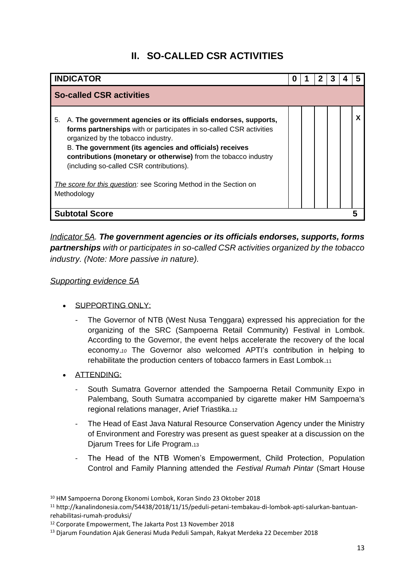# **II. SO-CALLED CSR ACTIVITIES**

<span id="page-14-0"></span>

| <b>INDICATOR</b>                                                                                                                                                                                                                                                                                                                                                                                                                                 | 0 |  |  |  |
|--------------------------------------------------------------------------------------------------------------------------------------------------------------------------------------------------------------------------------------------------------------------------------------------------------------------------------------------------------------------------------------------------------------------------------------------------|---|--|--|--|
| <b>So-called CSR activities</b>                                                                                                                                                                                                                                                                                                                                                                                                                  |   |  |  |  |
| A. The government agencies or its officials endorses, supports,<br>5.<br>forms partnerships with or participates in so-called CSR activities<br>organized by the tobacco industry.<br>B. The government (its agencies and officials) receives<br>contributions (monetary or otherwise) from the tobacco industry<br>(including so-called CSR contributions).<br>The score for this question: see Scoring Method in the Section on<br>Methodology |   |  |  |  |
| <b>Subtotal Score</b>                                                                                                                                                                                                                                                                                                                                                                                                                            |   |  |  |  |

*Indicator 5A. The government agencies or its officials endorses, supports, forms partnerships with or participates in so-called CSR activities organized by the tobacco industry. (Note: More passive in nature).*

### *Supporting evidence 5A*

- SUPPORTING ONLY:
	- The Governor of NTB (West Nusa Tenggara) expressed his appreciation for the organizing of the SRC (Sampoerna Retail Community) Festival in Lombok. According to the Governor, the event helps accelerate the recovery of the local economy.*<sup>10</sup>* The Governor also welcomed APTI's contribution in helping to rehabilitate the production centers of tobacco farmers in East Lombok.<sup>11</sup>
- ATTENDING:
	- South Sumatra Governor attended the Sampoerna Retail Community Expo in Palembang, South Sumatra accompanied by cigarette maker HM Sampoerna's regional relations manager, Arief Triastika.<sup>12</sup>
	- The Head of East Java Natural Resource Conservation Agency under the Ministry of Environment and Forestry was present as guest speaker at a discussion on the Djarum Trees for Life Program.<sup>13</sup>
	- The Head of the NTB Women's Empowerment, Child Protection, Population Control and Family Planning attended the *Festival Rumah Pintar* (Smart House

<sup>10</sup> [HM Sampoerna Dorong Ekonomi Lombok,](https://photos.app.goo.gl/n7ZJVB4A3PDX2Afs8) Koran Sindo 23 Oktober 2018

<sup>11</sup> http://kanalindonesia.com/54438/2018/11/15/peduli-petani-tembakau-di-lombok-apti-salurkan-bantuanrehabilitasi-rumah-produksi/

<sup>12</sup> [Corporate Empowerment,](https://photos.app.goo.gl/LrzpsSCxitx2fXid8) The Jakarta Post 13 November 2018

<sup>13</sup> [Djarum Foundation Ajak Generasi Muda Peduli Sampah,](https://photos.app.goo.gl/tnt77YAmZzagqFj17) Rakyat Merdeka 22 December 2018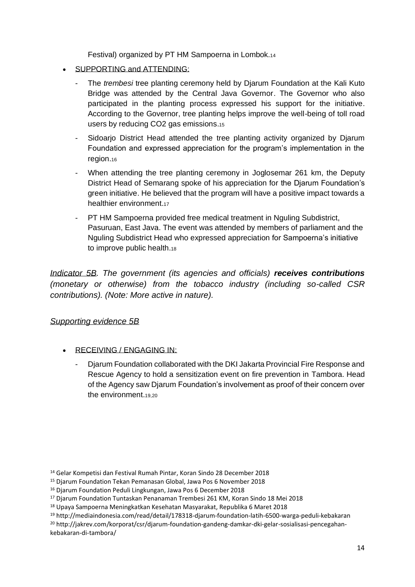Festival) organized by PT HM Sampoerna in Lombok.<sup>14</sup>

- SUPPORTING and ATTENDING:
	- The *trembesi* tree planting ceremony held by Djarum Foundation at the Kali Kuto Bridge was attended by the Central Java Governor. The Governor who also participated in the planting process expressed his support for the initiative. According to the Governor, tree planting helps improve the well-being of toll road users by reducing CO2 gas emissions.<sup>15</sup>
	- Sidoarjo District Head attended the tree planting activity organized by Djarum Foundation and expressed appreciation for the program's implementation in the region.<sup>16</sup>
	- When attending the tree planting ceremony in Joglosemar 261 km, the Deputy District Head of Semarang spoke of his appreciation for the Djarum Foundation's green initiative. He believed that the program will have a positive impact towards a healthier environment.<sup>17</sup>
	- PT HM Sampoerna provided free medical treatment in Nguling Subdistrict, Pasuruan, East Java. The event was attended by members of parliament and the Nguling Subdistrict Head who expressed appreciation for Sampoerna's initiative to improve public health.<sup>18</sup>

*Indicator 5B. The government (its agencies and officials) receives contributions (monetary or otherwise) from the tobacco industry (including so-called CSR contributions). (Note: More active in nature).*

#### *Supporting evidence 5B*

- RECEIVING / ENGAGING IN:
	- Djarum Foundation collaborated with the DKI Jakarta Provincial Fire Response and Rescue Agency to hold a sensitization event on fire prevention in Tambora. Head of the Agency saw Djarum Foundation's involvement as proof of their concern over the environment.1920

- <sup>15</sup> [Djarum Foundation Tekan Pemanasan Global,](https://photos.app.goo.gl/Tz9NiGK2QPuqEp7W7) Jawa Pos 6 November 2018
- <sup>16</sup> [Djarum Foundation Peduli Lingkungan,](https://photos.app.goo.gl/Ecjn5oEMKz585QTJ7) Jawa Pos 6 December 2018
- <sup>17</sup> [Djarum Foundation Tuntaskan Penanaman Trembesi 261 KM,](https://photos.app.goo.gl/gHRzNnhp951oLXw23) Koran Sindo 18 Mei 2018
- <sup>18</sup> [Upaya Sampoerna Meningkatkan Kesehatan Masyarakat,](https://photos.app.goo.gl/9nOLtjmZRHGGLhaa2) Republika 6 Maret 2018

<sup>19</sup> http://mediaindonesia.com/read/detail/178318-djarum-foundation-latih-6500-warga-peduli-kebakaran

<sup>20</sup> http://jakrev.com/korporat/csr/djarum-foundation-gandeng-damkar-dki-gelar-sosialisasi-pencegahankebakaran-di-tambora/

<sup>14</sup> [Gelar Kompetisi dan Festival Rumah Pintar,](https://photos.app.goo.gl/qUVHFpeBRAb9LYdDA) Koran Sindo 28 December 2018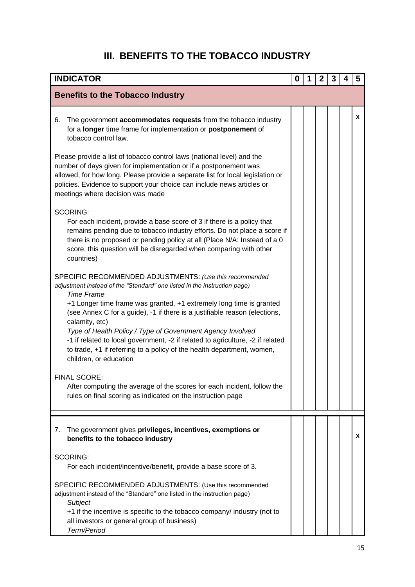# **III. BENEFITS TO THE TOBACCO INDUSTRY**

<span id="page-16-0"></span>

| <b>INDICATOR</b>                                                                                                                                                                                                                                                                                                                                                                                                                                                                                                                                                                    | 0 | 2 | 3 | 4 | 5 |
|-------------------------------------------------------------------------------------------------------------------------------------------------------------------------------------------------------------------------------------------------------------------------------------------------------------------------------------------------------------------------------------------------------------------------------------------------------------------------------------------------------------------------------------------------------------------------------------|---|---|---|---|---|
| <b>Benefits to the Tobacco Industry</b>                                                                                                                                                                                                                                                                                                                                                                                                                                                                                                                                             |   |   |   |   |   |
| The government accommodates requests from the tobacco industry<br>6.<br>for a longer time frame for implementation or postponement of<br>tobacco control law.                                                                                                                                                                                                                                                                                                                                                                                                                       |   |   |   |   | X |
| Please provide a list of tobacco control laws (national level) and the<br>number of days given for implementation or if a postponement was<br>allowed, for how long. Please provide a separate list for local legislation or<br>policies. Evidence to support your choice can include news articles or<br>meetings where decision was made                                                                                                                                                                                                                                          |   |   |   |   |   |
| <b>SCORING:</b><br>For each incident, provide a base score of 3 if there is a policy that<br>remains pending due to tobacco industry efforts. Do not place a score if<br>there is no proposed or pending policy at all (Place N/A: Instead of a 0<br>score, this question will be disregarded when comparing with other<br>countries)                                                                                                                                                                                                                                               |   |   |   |   |   |
| SPECIFIC RECOMMENDED ADJUSTMENTS: (Use this recommended<br>adjustment instead of the "Standard" one listed in the instruction page)<br><b>Time Frame</b><br>+1 Longer time frame was granted, +1 extremely long time is granted<br>(see Annex C for a guide), -1 if there is a justifiable reason (elections,<br>calamity, etc)<br>Type of Health Policy / Type of Government Agency Involved<br>-1 if related to local government, -2 if related to agriculture, -2 if related<br>to trade, +1 if referring to a policy of the health department, women,<br>children, or education |   |   |   |   |   |
| <b>FINAL SCORE:</b><br>After computing the average of the scores for each incident, follow the<br>rules on final scoring as indicated on the instruction page                                                                                                                                                                                                                                                                                                                                                                                                                       |   |   |   |   |   |
| The government gives privileges, incentives, exemptions or<br>7.<br>benefits to the tobacco industry                                                                                                                                                                                                                                                                                                                                                                                                                                                                                |   |   |   |   | x |
| <b>SCORING:</b><br>For each incident/incentive/benefit, provide a base score of 3.<br>SPECIFIC RECOMMENDED ADJUSTMENTS: (Use this recommended<br>adjustment instead of the "Standard" one listed in the instruction page)<br>Subject<br>+1 if the incentive is specific to the tobacco company/ industry (not to<br>all investors or general group of business)<br>Term/Period                                                                                                                                                                                                      |   |   |   |   |   |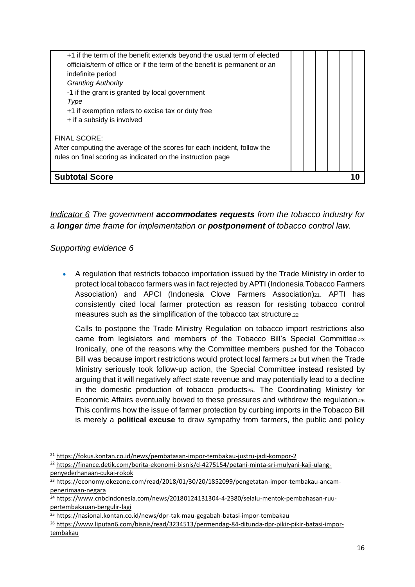| indefinite period<br><b>Granting Authority</b><br>-1 if the grant is granted by local government<br>Type<br>+1 if exemption refers to excise tax or duty free<br>+ if a subsidy is involved<br><b>FINAL SCORE:</b><br>After computing the average of the scores for each incident, follow the<br>rules on final scoring as indicated on the instruction page |  |  |  |
|--------------------------------------------------------------------------------------------------------------------------------------------------------------------------------------------------------------------------------------------------------------------------------------------------------------------------------------------------------------|--|--|--|
| <b>Subtotal Score</b>                                                                                                                                                                                                                                                                                                                                        |  |  |  |

*Indicator 6 The government accommodates requests from the tobacco industry for a longer time frame for implementation or postponement of tobacco control law.* 

#### *Supporting evidence 6*

• A regulation that restricts tobacco importation issued by the Trade Ministry in order to protect local tobacco farmers was in fact rejected by APTI (Indonesia Tobacco Farmers Association) and APCI (Indonesia Clove Farmers Association)<sub>21</sub>. APTI has consistently cited local farmer protection as reason for resisting tobacco control measures such as the simplification of the tobacco tax structure.<sup>22</sup>

Calls to postpone the Trade Ministry Regulation on tobacco import restrictions also came from legislators and members of the Tobacco Bill's Special Committee.<sup>23</sup> Ironically, one of the reasons why the Committee members pushed for the Tobacco Bill was because import restrictions would protect local farmers, 24 but when the Trade Ministry seriously took follow-up action, the Special Committee instead resisted by arguing that it will negatively affect state revenue and may potentially lead to a decline in the domestic production of tobacco products<sub>25</sub>. The Coordinating Ministry for Economic Affairs eventually bowed to these pressures and withdrew the regulation.<sup>26</sup> This confirms how the issue of farmer protection by curbing imports in the Tobacco Bill is merely a **political excuse** to draw sympathy from farmers, the public and policy

<sup>21</sup> <https://fokus.kontan.co.id/news/pembatasan-impor-tembakau-justru-jadi-kompor-2>

<sup>22</sup> [https://finance.detik.com/berita-ekonomi-bisnis/d-4275154/petani-minta-sri-mulyani-kaji-ulang](https://finance.detik.com/berita-ekonomi-bisnis/d-4275154/petani-minta-sri-mulyani-kaji-ulang-penyederhanaan-cukai-rokok)[penyederhanaan-cukai-rokok](https://finance.detik.com/berita-ekonomi-bisnis/d-4275154/petani-minta-sri-mulyani-kaji-ulang-penyederhanaan-cukai-rokok)

<sup>&</sup>lt;sup>23</sup> [https://economy.okezone.com/read/2018/01/30/20/1852099/pengetatan-impor-tembakau-ancam](https://economy.okezone.com/read/2018/01/30/20/1852099/pengetatan-impor-tembakau-ancam-penerimaan-negara)[penerimaan-negara](https://economy.okezone.com/read/2018/01/30/20/1852099/pengetatan-impor-tembakau-ancam-penerimaan-negara)

<sup>&</sup>lt;sup>24</sup> [https://www.cnbcindonesia.com/news/20180124131304-4-2380/selalu-mentok-pembahasan-ruu](https://www.cnbcindonesia.com/news/20180124131304-4-2380/selalu-mentok-pembahasan-ruu-pertembakauan-bergulir-lagi)[pertembakauan-bergulir-lagi](https://www.cnbcindonesia.com/news/20180124131304-4-2380/selalu-mentok-pembahasan-ruu-pertembakauan-bergulir-lagi)

<sup>25</sup> <https://nasional.kontan.co.id/news/dpr-tak-mau-gegabah-batasi-impor-tembakau>

<sup>&</sup>lt;sup>26</sup> [https://www.liputan6.com/bisnis/read/3234513/permendag-84-ditunda-dpr-pikir-pikir-batasi-impor](https://www.liputan6.com/bisnis/read/3234513/permendag-84-ditunda-dpr-pikir-pikir-batasi-impor-tembakau)[tembakau](https://www.liputan6.com/bisnis/read/3234513/permendag-84-ditunda-dpr-pikir-pikir-batasi-impor-tembakau)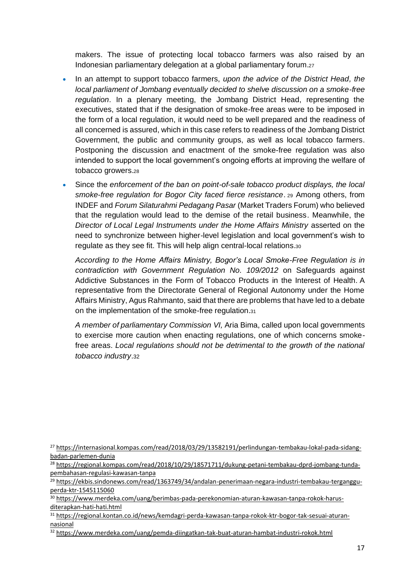makers. The issue of protecting local tobacco farmers was also raised by an Indonesian parliamentary delegation at a global parliamentary forum.<sup>27</sup>

- In an attempt to support tobacco farmers, *upon the advice of the District Head, the local parliament of Jombang eventually decided to shelve discussion on a smoke-free regulation*. In a plenary meeting, the Jombang District Head, representing the executives, stated that if the designation of smoke-free areas were to be imposed in the form of a local regulation, it would need to be well prepared and the readiness of all concerned is assured, which in this case refers to readiness of the Jombang District Government, the public and community groups, as well as local tobacco farmers. Postponing the discussion and enactment of the smoke-free regulation was also intended to support the local government's ongoing efforts at improving the welfare of tobacco growers.<sup>28</sup>
- Since the *enforcement of the ban on point-of-sale tobacco product displays, the local smoke-free regulation for Bogor City faced fierce resistance*. <sup>29</sup> Among others, from INDEF and *Forum Silaturahmi Pedagang Pasar* (Market Traders Forum) who believed that the regulation would lead to the demise of the retail business. Meanwhile, the *Director of Local Legal Instruments under the Home Affairs Ministry* asserted on the need to synchronize between higher-level legislation and local government's wish to regulate as they see fit. This will help align central-local relations.<sup>30</sup>

*According to the Home Affairs Ministry, Bogor's Local Smoke-Free Regulation is in contradiction with Government Regulation No. 109/2012* on Safeguards against Addictive Substances in the Form of Tobacco Products in the Interest of Health. A representative from the Directorate General of Regional Autonomy under the Home Affairs Ministry, Agus Rahmanto, said that there are problems that have led to a debate on the implementation of the smoke-free regulation.<sup>31</sup>

*A member of parliamentary Commission VI,* Aria Bima, called upon local governments to exercise more caution when enacting regulations, one of which concerns smokefree areas. *Local regulations should not be detrimental to the growth of the national tobacco industry*.32

<sup>27</sup> [https://internasional.kompas.com/read/2018/03/29/13582191/perlindungan-tembakau-lokal-pada-sidang](https://internasional.kompas.com/read/2018/03/29/13582191/perlindungan-tembakau-lokal-pada-sidang-badan-parlemen-dunia)[badan-parlemen-dunia](https://internasional.kompas.com/read/2018/03/29/13582191/perlindungan-tembakau-lokal-pada-sidang-badan-parlemen-dunia)

<sup>28</sup> [https://regional.kompas.com/read/2018/10/29/18571711/dukung-petani-tembakau-dprd-jombang-tunda](https://regional.kompas.com/read/2018/10/29/18571711/dukung-petani-tembakau-dprd-jombang-tunda-pembahasan-regulasi-kawasan-tanpa)[pembahasan-regulasi-kawasan-tanpa](https://regional.kompas.com/read/2018/10/29/18571711/dukung-petani-tembakau-dprd-jombang-tunda-pembahasan-regulasi-kawasan-tanpa)

<sup>&</sup>lt;sup>29</sup> [https://ekbis.sindonews.com/read/1363749/34/andalan-penerimaan-negara-industri-tembakau-terganggu](https://ekbis.sindonews.com/read/1363749/34/andalan-penerimaan-negara-industri-tembakau-terganggu-perda-ktr-1545115060)[perda-ktr-1545115060](https://ekbis.sindonews.com/read/1363749/34/andalan-penerimaan-negara-industri-tembakau-terganggu-perda-ktr-1545115060)

<sup>30</sup> [https://www.merdeka.com/uang/berimbas-pada-perekonomian-aturan-kawasan-tanpa-rokok-harus](https://www.merdeka.com/uang/berimbas-pada-perekonomian-aturan-kawasan-tanpa-rokok-harus-diterapkan-hati-hati.html)[diterapkan-hati-hati.html](https://www.merdeka.com/uang/berimbas-pada-perekonomian-aturan-kawasan-tanpa-rokok-harus-diterapkan-hati-hati.html)

<sup>31</sup> [https://regional.kontan.co.id/news/kemdagri-perda-kawasan-tanpa-rokok-ktr-bogor-tak-sesuai-aturan](https://regional.kontan.co.id/news/kemdagri-perda-kawasan-tanpa-rokok-ktr-bogor-tak-sesuai-aturan-nasional)[nasional](https://regional.kontan.co.id/news/kemdagri-perda-kawasan-tanpa-rokok-ktr-bogor-tak-sesuai-aturan-nasional)

<sup>32</sup> <https://www.merdeka.com/uang/pemda-diingatkan-tak-buat-aturan-hambat-industri-rokok.html>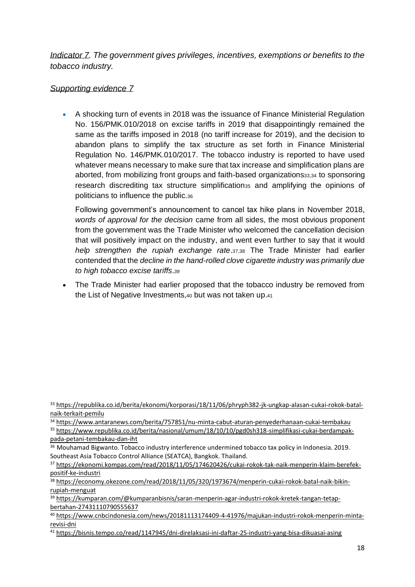*Indicator 7. The government gives privileges, incentives, exemptions or benefits to the tobacco industry.*

### *Supporting evidence 7*

• A shocking turn of events in 2018 was the issuance of Finance Ministerial Regulation No. 156/PMK.010/2018 on excise tariffs in 2019 that disappointingly remained the same as the tariffs imposed in 2018 (no tariff increase for 2019), and the decision to abandon plans to simplify the tax structure as set forth in Finance Ministerial Regulation No. 146/PMK.010/2017. The tobacco industry is reported to have used whatever means necessary to make sure that tax increase and simplification plans are aborted, from mobilizing front groups and faith-based organizations33,34 to sponsoring research discrediting tax structure simplification<sub>35</sub> and amplifying the opinions of politicians to influence the public.<sup>36</sup>

Following government's announcement to cancel tax hike plans in November 2018, *words of approval for the decision* came from all sides, the most obvious proponent from the government was the Trade Minister who welcomed the cancellation decision that will positively impact on the industry, and went even further to say that it would *help strengthen the rupiah exchange rate*.37,38 The Trade Minister had earlier contended that the *decline in the hand-rolled clove cigarette industry was primarily due to high tobacco excise tariffs*.*<sup>39</sup>*

• The Trade Minister had earlier proposed that the tobacco industry be removed from the List of Negative Investments,<sup>40</sup> but was not taken up.<sup>41</sup>

<sup>34</sup> <https://www.antaranews.com/berita/757851/nu-minta-cabut-aturan-penyederhanaan-cukai-tembakau>

<sup>35</sup> [https://www.republika.co.id/berita/nasional/umum/18/10/10/pgd0sh318-simplifikasi-cukai-berdampak](https://www.republika.co.id/berita/nasional/umum/18/10/10/pgd0sh318-simplifikasi-cukai-berdampak-pada-petani-tembakau-dan-iht)[pada-petani-tembakau-dan-iht](https://www.republika.co.id/berita/nasional/umum/18/10/10/pgd0sh318-simplifikasi-cukai-berdampak-pada-petani-tembakau-dan-iht)

<sup>38</sup> [https://economy.okezone.com/read/2018/11/05/320/1973674/menperin-cukai-rokok-batal-naik-bikin](https://economy.okezone.com/read/2018/11/05/320/1973674/menperin-cukai-rokok-batal-naik-bikin-rupiah-menguat)[rupiah-menguat](https://economy.okezone.com/read/2018/11/05/320/1973674/menperin-cukai-rokok-batal-naik-bikin-rupiah-menguat)

<sup>39</sup> [https://kumparan.com/@kumparanbisnis/saran-menperin-agar-industri-rokok-kretek-tangan-tetap](https://kumparan.com/@kumparanbisnis/saran-menperin-agar-industri-rokok-kretek-tangan-tetap-bertahan-27431110790555637)[bertahan-27431110790555637](https://kumparan.com/@kumparanbisnis/saran-menperin-agar-industri-rokok-kretek-tangan-tetap-bertahan-27431110790555637)

<sup>33</sup> [https://republika.co.id/berita/ekonomi/korporasi/18/11/06/phryph382-jk-ungkap-alasan-cukai-rokok-batal](https://republika.co.id/berita/ekonomi/korporasi/18/11/06/phryph382-jk-ungkap-alasan-cukai-rokok-batal-naik-terkait-pemilu)[naik-terkait-pemilu](https://republika.co.id/berita/ekonomi/korporasi/18/11/06/phryph382-jk-ungkap-alasan-cukai-rokok-batal-naik-terkait-pemilu)

<sup>&</sup>lt;sup>36</sup> Mouhamad Bigwanto. Tobacco industry interference undermined tobacco tax policy in Indonesia. 2019. Southeast Asia Tobacco Control Alliance (SEATCA), Bangkok. Thailand.

<sup>37</sup> [https://ekonomi.kompas.com/read/2018/11/05/174620426/cukai-rokok-tak-naik-menperin-klaim-berefek](https://ekonomi.kompas.com/read/2018/11/05/174620426/cukai-rokok-tak-naik-menperin-klaim-berefek-positif-ke-industri)[positif-ke-industri](https://ekonomi.kompas.com/read/2018/11/05/174620426/cukai-rokok-tak-naik-menperin-klaim-berefek-positif-ke-industri)

<sup>40</sup> [https://www.cnbcindonesia.com/news/20181113174409-4-41976/majukan-industri-rokok-menperin-minta](https://www.cnbcindonesia.com/news/20181113174409-4-41976/majukan-industri-rokok-menperin-minta-revisi-dni)[revisi-dni](https://www.cnbcindonesia.com/news/20181113174409-4-41976/majukan-industri-rokok-menperin-minta-revisi-dni)

<sup>41</sup> <https://bisnis.tempo.co/read/1147945/dni-direlaksasi-ini-daftar-25-industri-yang-bisa-dikuasai-asing>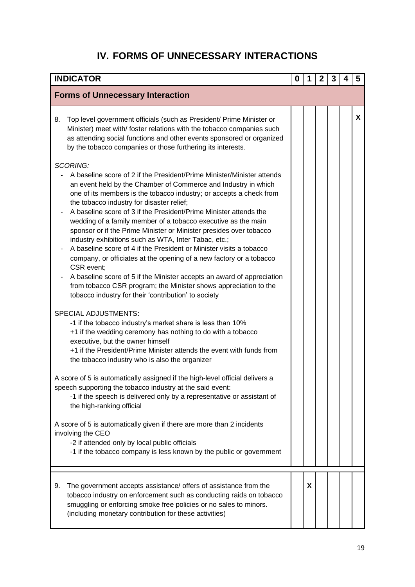# **IV. FORMS OF UNNECESSARY INTERACTIONS**

<span id="page-20-0"></span>

| <b>INDICATOR</b>                                                                                                                                                                                                                                                                                                                                                                                                                                                                                                                                                                                                                                                                                                                                                                                                                                                                                               | 0 | 1 | 2 | 3 | 4 | 5 |
|----------------------------------------------------------------------------------------------------------------------------------------------------------------------------------------------------------------------------------------------------------------------------------------------------------------------------------------------------------------------------------------------------------------------------------------------------------------------------------------------------------------------------------------------------------------------------------------------------------------------------------------------------------------------------------------------------------------------------------------------------------------------------------------------------------------------------------------------------------------------------------------------------------------|---|---|---|---|---|---|
| <b>Forms of Unnecessary Interaction</b>                                                                                                                                                                                                                                                                                                                                                                                                                                                                                                                                                                                                                                                                                                                                                                                                                                                                        |   |   |   |   |   |   |
| Top level government officials (such as President/ Prime Minister or<br>8.<br>Minister) meet with/ foster relations with the tobacco companies such<br>as attending social functions and other events sponsored or organized<br>by the tobacco companies or those furthering its interests.                                                                                                                                                                                                                                                                                                                                                                                                                                                                                                                                                                                                                    |   |   |   |   |   | X |
| SCORING:<br>A baseline score of 2 if the President/Prime Minister/Minister attends<br>an event held by the Chamber of Commerce and Industry in which<br>one of its members is the tobacco industry; or accepts a check from<br>the tobacco industry for disaster relief;<br>A baseline score of 3 if the President/Prime Minister attends the<br>wedding of a family member of a tobacco executive as the main<br>sponsor or if the Prime Minister or Minister presides over tobacco<br>industry exhibitions such as WTA, Inter Tabac, etc.;<br>A baseline score of 4 if the President or Minister visits a tobacco<br>company, or officiates at the opening of a new factory or a tobacco<br>CSR event;<br>A baseline score of 5 if the Minister accepts an award of appreciation<br>from tobacco CSR program; the Minister shows appreciation to the<br>tobacco industry for their 'contribution' to society |   |   |   |   |   |   |
| <b>SPECIAL ADJUSTMENTS:</b><br>-1 if the tobacco industry's market share is less than 10%<br>+1 if the wedding ceremony has nothing to do with a tobacco<br>executive, but the owner himself<br>+1 if the President/Prime Minister attends the event with funds from<br>the tobacco industry who is also the organizer                                                                                                                                                                                                                                                                                                                                                                                                                                                                                                                                                                                         |   |   |   |   |   |   |
| A score of 5 is automatically assigned if the high-level official delivers a<br>speech supporting the tobacco industry at the said event:<br>-1 if the speech is delivered only by a representative or assistant of<br>the high-ranking official                                                                                                                                                                                                                                                                                                                                                                                                                                                                                                                                                                                                                                                               |   |   |   |   |   |   |
| A score of 5 is automatically given if there are more than 2 incidents<br>involving the CEO<br>-2 if attended only by local public officials<br>-1 if the tobacco company is less known by the public or government                                                                                                                                                                                                                                                                                                                                                                                                                                                                                                                                                                                                                                                                                            |   |   |   |   |   |   |
| The government accepts assistance/ offers of assistance from the<br>9.<br>tobacco industry on enforcement such as conducting raids on tobacco<br>smuggling or enforcing smoke free policies or no sales to minors.<br>(including monetary contribution for these activities)                                                                                                                                                                                                                                                                                                                                                                                                                                                                                                                                                                                                                                   |   | X |   |   |   |   |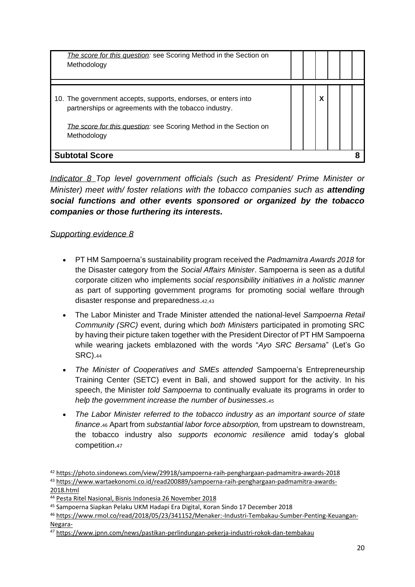| The score for this question: see Scoring Method in the Section on<br>Methodology                                                                                                                            |  |   |  |  |
|-------------------------------------------------------------------------------------------------------------------------------------------------------------------------------------------------------------|--|---|--|--|
| 10. The government accepts, supports, endorses, or enters into<br>partnerships or agreements with the tobacco industry.<br>The score for this question: see Scoring Method in the Section on<br>Methodology |  | χ |  |  |
| <b>Subtotal Score</b>                                                                                                                                                                                       |  |   |  |  |

*Indicator 8 Top level government officials (such as President/ Prime Minister or Minister)* meet with/ foster relations with the tobacco companies such as **attending** *social functions and other events sponsored or organized by the tobacco companies or those furthering its interests.*

# *Supporting evidence 8*

- PT HM Sampoerna's sustainability program received the *Padmamitra Awards 2018* for the Disaster category from the *Social Affairs Minister*. Sampoerna is seen as a dutiful corporate citizen who implements *social responsibility initiatives in a holistic manner*  as part of supporting government programs for promoting social welfare through disaster response and preparedness.42,43
- The Labor Minister and Trade Minister attended the national-level *Sampoerna Retail Community (SRC)* event, during which *both Ministers* participated in promoting SRC by having their picture taken together with the President Director of PT HM Sampoerna while wearing jackets emblazoned with the words "*Ayo SRC Bersama*" (Let's Go SRC).<sup>44</sup>
- *The Minister of Cooperatives and SMEs attended* Sampoerna's Entrepreneurship Training Center (SETC) event in Bali, and showed support for the activity. In his speech, the Minister *told Sampoerna* to continually evaluate its programs in order to *help the government increase the number of businesses.<sup>45</sup>*
- *The Labor Minister referred to the tobacco industry as an important source of state finance*.<sup>46</sup> Apart from *substantial labor force absorption,* from upstream to downstream, the tobacco industry also *supports economic resilience* amid today's global competition.<sup>47</sup>

[2018.html](https://www.wartaekonomi.co.id/read200889/sampoerna-raih-penghargaan-padmamitra-awards-2018.html)

<sup>42</sup> <https://photo.sindonews.com/view/29918/sampoerna-raih-penghargaan-padmamitra-awards-2018> <sup>43</sup> [https://www.wartaekonomi.co.id/read200889/sampoerna-raih-penghargaan-padmamitra-awards-](https://www.wartaekonomi.co.id/read200889/sampoerna-raih-penghargaan-padmamitra-awards-2018.html)

<sup>44</sup> [Pesta Ritel Nasional,](https://photos.app.goo.gl/yLWdzr7YX1WyLZTZ7) Bisnis Indonesia 26 November 2018

<sup>45</sup> [Sampoerna Siapkan Pelaku UKM Hadapi Era Digital,](https://photos.app.goo.gl/NfnTj6m7heyAmmtE6) Koran Sindo 17 December 2018

<sup>46</sup> [https://www.rmol.co/read/2018/05/23/341152/Menaker:-Industri-Tembakau-Sumber-Penting-Keuangan-](https://www.rmol.co/read/2018/05/23/341152/Menaker:-Industri-Tembakau-Sumber-Penting-Keuangan-Negara-)[Negara-](https://www.rmol.co/read/2018/05/23/341152/Menaker:-Industri-Tembakau-Sumber-Penting-Keuangan-Negara-)

<sup>47</sup> <https://www.jpnn.com/news/pastikan-perlindungan-pekerja-industri-rokok-dan-tembakau>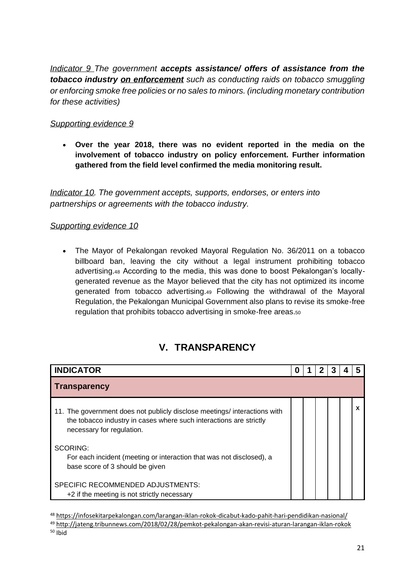*Indicator 9 The government accepts assistance/ offers of assistance from the tobacco industry on enforcement such as conducting raids on tobacco smuggling or enforcing smoke free policies or no sales to minors. (including monetary contribution for these activities)*

## *Supporting evidence 9*

• **Over the year 2018, there was no evident reported in the media on the involvement of tobacco industry on policy enforcement. Further information gathered from the field level confirmed the media monitoring result.**

*Indicator 10. The government accepts, supports, endorses, or enters into partnerships or agreements with the tobacco industry.*

### *Supporting evidence 10*

• The Mayor of Pekalongan revoked Mayoral Regulation No. 36/2011 on a tobacco billboard ban, leaving the city without a legal instrument prohibiting tobacco advertising.<sup>48</sup> According to the media, this was done to boost Pekalongan's locallygenerated revenue as the Mayor believed that the city has not optimized its income generated from tobacco advertising.<sup>49</sup> Following the withdrawal of the Mayoral Regulation, the Pekalongan Municipal Government also plans to revise its smoke-free regulation that prohibits tobacco advertising in smoke-free areas.<sup>50</sup>

# **V. TRANSPARENCY**

<span id="page-22-0"></span>

| <b>INDICATOR</b>                                                                                                                                                             | O |  |  |  |
|------------------------------------------------------------------------------------------------------------------------------------------------------------------------------|---|--|--|--|
| <b>Transparency</b>                                                                                                                                                          |   |  |  |  |
| 11. The government does not publicly disclose meetings/ interactions with<br>the tobacco industry in cases where such interactions are strictly<br>necessary for regulation. |   |  |  |  |
| <b>SCORING:</b><br>For each incident (meeting or interaction that was not disclosed), a<br>base score of 3 should be given                                                   |   |  |  |  |
| SPECIFIC RECOMMENDED ADJUSTMENTS:<br>+2 if the meeting is not strictly necessary                                                                                             |   |  |  |  |

<sup>48</sup> <https://infosekitarpekalongan.com/larangan-iklan-rokok-dicabut-kado-pahit-hari-pendidikan-nasional/> <sup>49</sup> <http://jateng.tribunnews.com/2018/02/28/pemkot-pekalongan-akan-revisi-aturan-larangan-iklan-rokok>  $50$  Ibid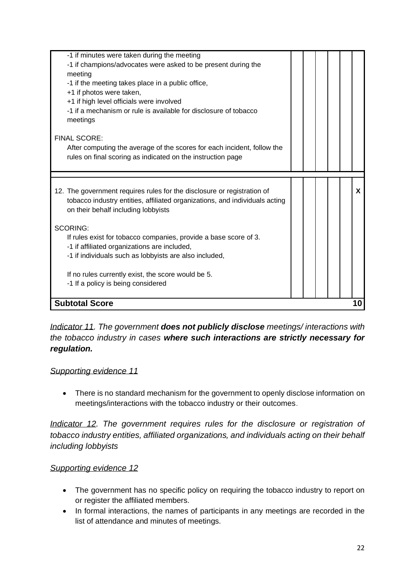| on their behalf including lobbyists<br><b>SCORING:</b><br>If rules exist for tobacco companies, provide a base score of 3.<br>-1 if affiliated organizations are included,<br>-1 if individuals such as lobbyists are also included,<br>If no rules currently exist, the score would be 5.<br>-1 If a policy is being considered<br><b>Subtotal Score</b> | 10 |
|-----------------------------------------------------------------------------------------------------------------------------------------------------------------------------------------------------------------------------------------------------------------------------------------------------------------------------------------------------------|----|
|                                                                                                                                                                                                                                                                                                                                                           |    |
|                                                                                                                                                                                                                                                                                                                                                           |    |
|                                                                                                                                                                                                                                                                                                                                                           |    |
|                                                                                                                                                                                                                                                                                                                                                           |    |
|                                                                                                                                                                                                                                                                                                                                                           |    |
|                                                                                                                                                                                                                                                                                                                                                           |    |
|                                                                                                                                                                                                                                                                                                                                                           |    |
|                                                                                                                                                                                                                                                                                                                                                           |    |
| tobacco industry entities, affiliated organizations, and individuals acting                                                                                                                                                                                                                                                                               |    |
| 12. The government requires rules for the disclosure or registration of                                                                                                                                                                                                                                                                                   | x  |
|                                                                                                                                                                                                                                                                                                                                                           |    |
| rules on final scoring as indicated on the instruction page                                                                                                                                                                                                                                                                                               |    |
| After computing the average of the scores for each incident, follow the                                                                                                                                                                                                                                                                                   |    |
| <b>FINAL SCORE:</b>                                                                                                                                                                                                                                                                                                                                       |    |
| meetings                                                                                                                                                                                                                                                                                                                                                  |    |
| -1 if a mechanism or rule is available for disclosure of tobacco                                                                                                                                                                                                                                                                                          |    |
| +1 if high level officials were involved                                                                                                                                                                                                                                                                                                                  |    |
| +1 if photos were taken,                                                                                                                                                                                                                                                                                                                                  |    |
| -1 if the meeting takes place in a public office,                                                                                                                                                                                                                                                                                                         |    |
| meeting                                                                                                                                                                                                                                                                                                                                                   |    |
| -1 if minutes were taken during the meeting<br>-1 if champions/advocates were asked to be present during the                                                                                                                                                                                                                                              |    |

*Indicator 11. The government does not publicly disclose meetings/ interactions with the tobacco industry in cases where such interactions are strictly necessary for regulation.*

*Supporting evidence 11*

• There is no standard mechanism for the government to openly disclose information on meetings/interactions with the tobacco industry or their outcomes.

*Indicator 12. The government requires rules for the disclosure or registration of tobacco industry entities, affiliated organizations, and individuals acting on their behalf including lobbyists*

# *Supporting evidence 12*

- The government has no specific policy on requiring the tobacco industry to report on or register the affiliated members.
- In formal interactions, the names of participants in any meetings are recorded in the list of attendance and minutes of meetings.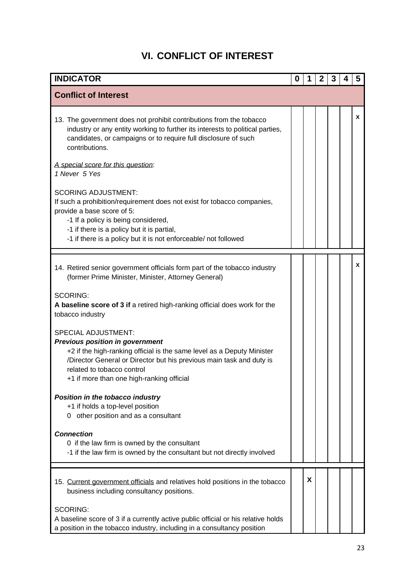# **VI. CONFLICT OF INTEREST**

<span id="page-24-0"></span>

| <b>INDICATOR</b>                                                                                                                                                                                                                                                                                  | 0 |   | 2 | 3 | 4 | 5 |
|---------------------------------------------------------------------------------------------------------------------------------------------------------------------------------------------------------------------------------------------------------------------------------------------------|---|---|---|---|---|---|
| <b>Conflict of Interest</b>                                                                                                                                                                                                                                                                       |   |   |   |   |   |   |
| 13. The government does not prohibit contributions from the tobacco<br>industry or any entity working to further its interests to political parties,<br>candidates, or campaigns or to require full disclosure of such<br>contributions.                                                          |   |   |   |   |   | X |
| A special score for this question:<br>1 Never 5 Yes                                                                                                                                                                                                                                               |   |   |   |   |   |   |
| <b>SCORING ADJUSTMENT:</b><br>If such a prohibition/requirement does not exist for tobacco companies,<br>provide a base score of 5:<br>-1 If a policy is being considered,<br>-1 if there is a policy but it is partial,<br>-1 if there is a policy but it is not enforceable/ not followed       |   |   |   |   |   |   |
| 14. Retired senior government officials form part of the tobacco industry<br>(former Prime Minister, Minister, Attorney General)                                                                                                                                                                  |   |   |   |   |   | x |
| <b>SCORING:</b><br>A baseline score of 3 if a retired high-ranking official does work for the<br>tobacco industry                                                                                                                                                                                 |   |   |   |   |   |   |
| <b>SPECIAL ADJUSTMENT:</b><br><b>Previous position in government</b><br>+2 if the high-ranking official is the same level as a Deputy Minister<br>/Director General or Director but his previous main task and duty is<br>related to tobacco control<br>+1 if more than one high-ranking official |   |   |   |   |   |   |
| Position in the tobacco industry<br>+1 if holds a top-level position<br>other position and as a consultant<br>0                                                                                                                                                                                   |   |   |   |   |   |   |
| <b>Connection</b><br>0 if the law firm is owned by the consultant<br>-1 if the law firm is owned by the consultant but not directly involved                                                                                                                                                      |   |   |   |   |   |   |
| 15. Current government officials and relatives hold positions in the tobacco<br>business including consultancy positions.                                                                                                                                                                         |   | X |   |   |   |   |
| <b>SCORING:</b><br>A baseline score of 3 if a currently active public official or his relative holds<br>a position in the tobacco industry, including in a consultancy position                                                                                                                   |   |   |   |   |   |   |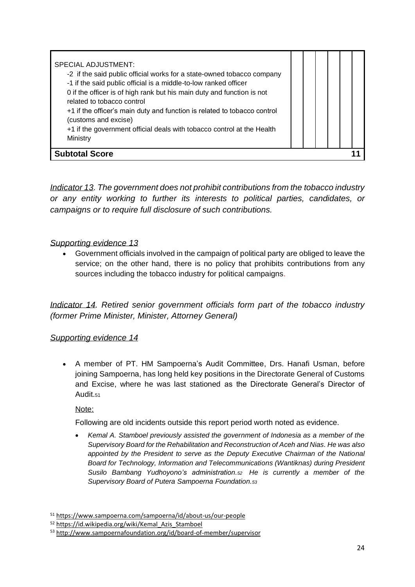*Indicator 13. The government does not prohibit contributions from the tobacco industry or any entity working to further its interests to political parties, candidates, or campaigns or to require full disclosure of such contributions.*

# *Supporting evidence 13*

• Government officials involved in the campaign of political party are obliged to leave the service; on the other hand, there is no policy that prohibits contributions from any sources including the tobacco industry for political campaigns.

*Indicator 14. Retired senior government officials form part of the tobacco industry (former Prime Minister, Minister, Attorney General)*

# *Supporting evidence 14*

• A member of PT. HM Sampoerna's Audit Committee, Drs. Hanafi Usman, before joining Sampoerna, has long held key positions in the Directorate General of Customs and Excise, where he was last stationed as the Directorate General's Director of Audit.<sup>51</sup>

Note:

Following are old incidents outside this report period worth noted as evidence.

• *Kemal A. Stamboel previously assisted the government of Indonesia as a member of the Supervisory Board for the Rehabilitation and Reconstruction of Aceh and Nias. He was also appointed by the President to serve as the Deputy Executive Chairman of the National Board for Technology, Information and Telecommunications (Wantiknas) during President Susilo Bambang Yudhoyono's administration.<sup>52</sup> He is currently a member of the Supervisory Board of Putera Sampoerna Foundation.<sup>53</sup>*

<sup>51</sup> <https://www.sampoerna.com/sampoerna/id/about-us/our-people>

<sup>52</sup> [https://id.wikipedia.org/wiki/Kemal\\_Azis\\_Stamboel](https://id.wikipedia.org/wiki/Kemal_Azis_Stamboel)

<sup>53</sup> <http://www.sampoernafoundation.org/id/board-of-member/supervisor>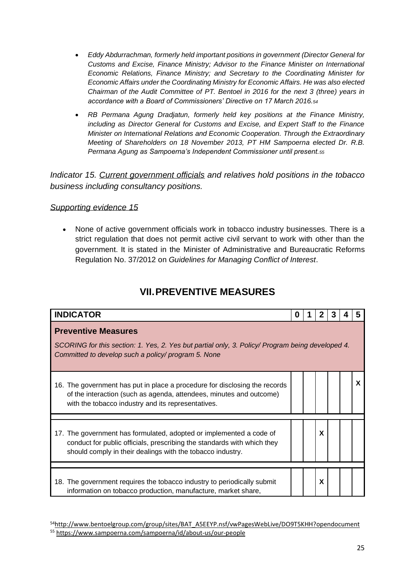- *Eddy Abdurrachman, formerly held important positions in government (Director General for Customs and Excise, Finance Ministry; Advisor to the Finance Minister on International Economic Relations, Finance Ministry; and Secretary to the Coordinating Minister for Economic Affairs under the Coordinating Ministry for Economic Affairs. He was also elected Chairman of the Audit Committee of PT. Bentoel in 2016 for the next 3 (three) years in accordance with a Board of Commissioners' Directive on 17 March 2016.<sup>54</sup>*
- *RB Permana Agung Dradjatun, formerly held key positions at the Finance Ministry, including as Director General for Customs and Excise, and Expert Staff to the Finance Minister on International Relations and Economic Cooperation. Through the Extraordinary Meeting of Shareholders on 18 November 2013, PT HM Sampoerna elected Dr. R.B. Permana Agung as Sampoerna's Independent Commissioner until present.<sup>55</sup>*

*Indicator 15. Current government officials and relatives hold positions in the tobacco business including consultancy positions.*

#### *Supporting evidence 15*

• None of active government officials work in tobacco industry businesses. There is a strict regulation that does not permit active civil servant to work with other than the government. It is stated in the Minister of Administrative and Bureaucratic Reforms Regulation No. 37/2012 on *Guidelines for Managing Conflict of Interest*.

# **VII.PREVENTIVE MEASURES**

<span id="page-26-0"></span>

| <b>INDICATOR</b>                                                                                                                                                                                             | o |  |   |  |  |          |  |  |
|--------------------------------------------------------------------------------------------------------------------------------------------------------------------------------------------------------------|---|--|---|--|--|----------|--|--|
| <b>Preventive Measures</b><br>SCORING for this section: 1. Yes, 2. Yes but partial only, 3. Policy/ Program being developed 4.<br>Committed to develop such a policy/ program 5. None                        |   |  |   |  |  |          |  |  |
| 16. The government has put in place a procedure for disclosing the records<br>of the interaction (such as agenda, attendees, minutes and outcome)<br>with the tobacco industry and its representatives.      |   |  |   |  |  | <b>X</b> |  |  |
| 17. The government has formulated, adopted or implemented a code of<br>conduct for public officials, prescribing the standards with which they<br>should comply in their dealings with the tobacco industry. |   |  | X |  |  |          |  |  |
| 18. The government requires the tobacco industry to periodically submit<br>information on tobacco production, manufacture, market share,                                                                     |   |  | X |  |  |          |  |  |

<sup>54</sup>[http://www.bentoelgroup.com/group/sites/BAT\\_A5EEYP.nsf/vwPagesWebLive/DO9T5KHH?opendocument](http://www.bentoelgroup.com/group/sites/BAT_A5EEYP.nsf/vwPagesWebLive/DO9T5KHH?opendocument) <sup>55</sup> <https://www.sampoerna.com/sampoerna/id/about-us/our-people>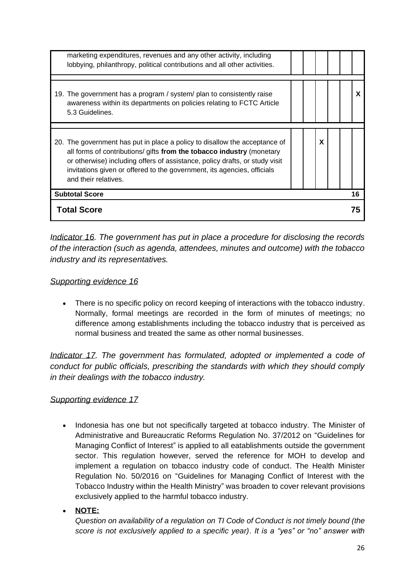| <b>Total Score</b>                                                                                                                                                                                                                                                                                                                    |   |  | 75 |
|---------------------------------------------------------------------------------------------------------------------------------------------------------------------------------------------------------------------------------------------------------------------------------------------------------------------------------------|---|--|----|
| <b>Subtotal Score</b>                                                                                                                                                                                                                                                                                                                 |   |  | 16 |
| 20. The government has put in place a policy to disallow the acceptance of<br>all forms of contributions/ gifts from the tobacco industry (monetary<br>or otherwise) including offers of assistance, policy drafts, or study visit<br>invitations given or offered to the government, its agencies, officials<br>and their relatives. | X |  |    |
| 19. The government has a program / system/ plan to consistently raise<br>awareness within its departments on policies relating to FCTC Article<br>5.3 Guidelines.                                                                                                                                                                     |   |  | X  |
| marketing expenditures, revenues and any other activity, including<br>lobbying, philanthropy, political contributions and all other activities.                                                                                                                                                                                       |   |  |    |

*Indicator 16. The government has put in place a procedure for disclosing the records of the interaction (such as agenda, attendees, minutes and outcome) with the tobacco industry and its representatives.*

### *Supporting evidence 16*

• There is no specific policy on record keeping of interactions with the tobacco industry. Normally, formal meetings are recorded in the form of minutes of meetings; no difference among establishments including the tobacco industry that is perceived as normal business and treated the same as other normal businesses.

*Indicator 17. The government has formulated, adopted or implemented a code of conduct for public officials, prescribing the standards with which they should comply in their dealings with the tobacco industry.*

# *Supporting evidence 17*

- Indonesia has one but not specifically targeted at tobacco industry. The Minister of Administrative and Bureaucratic Reforms Regulation No. 37/2012 on "Guidelines for Managing Conflict of Interest" is applied to all eatablishments outside the government sector. This regulation however, served the reference for MOH to develop and implement a regulation on tobacco industry code of conduct. The Health Minister Regulation No. 50/2016 on "Guidelines for Managing Conflict of Interest with the Tobacco Industry within the Health Ministry" was broaden to cover relevant provisions exclusively applied to the harmful tobacco industry.
- **NOTE:**

*Question on availability of a regulation on TI Code of Conduct is not timely bound (the score is not exclusively applied to a specific year). It is a "yes" or "no" answer with*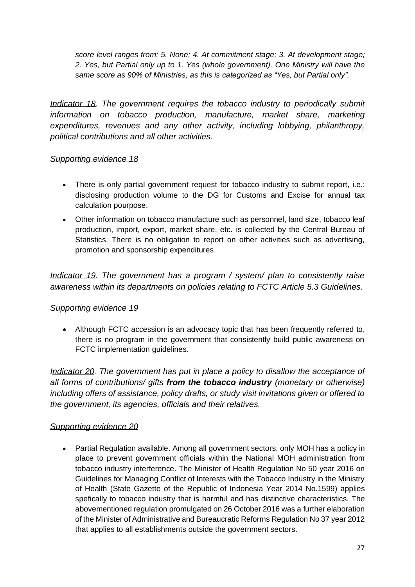*score level ranges from: 5. None; 4. At commitment stage; 3. At development stage; 2. Yes, but Partial only up to 1. Yes (whole government). One Ministry will have the same score as 90% of Ministries, as this is categorized as "Yes, but Partial only".* 

*Indicator 18. The government requires the tobacco industry to periodically submit information on tobacco production, manufacture, market share, marketing expenditures, revenues and any other activity, including lobbying, philanthropy, political contributions and all other activities.*

### *Supporting evidence 18*

- There is only partial government request for tobacco industry to submit report, i.e.: disclosing production volume to the DG for Customs and Excise for annual tax calculation pourpose.
- Other information on tobacco manufacture such as personnel, land size, tobacco leaf production, import, export, market share, etc. is collected by the Central Bureau of Statistics. There is no obligation to report on other activities such as advertising, promotion and sponsorship expenditures.

*Indicator 19. The government has a program / system/ plan to consistently raise awareness within its departments on policies relating to FCTC Article 5.3 Guidelines.*

# *Supporting evidence 19*

• Although FCTC accession is an advocacy topic that has been frequently referred to, there is no program in the government that consistently build public awareness on FCTC implementation guidelines.

*Indicator 20. The government has put in place a policy to disallow the acceptance of all forms of contributions/ gifts from the tobacco industry (monetary or otherwise) including offers of assistance, policy drafts, or study visit invitations given or offered to the government, its agencies, officials and their relatives.* 

# *Supporting evidence 20*

• Partial Regulation available. Among all government sectors, only MOH has a policy in place to prevent government officials within the National MOH administration from tobacco industry interference. The Minister of Health Regulation No 50 year 2016 on Guidelines for Managing Conflict of Interests with the Tobacco Industry in the Ministry of Health (State Gazette of the Republic of Indonesia Year 2014 No.1599) applies spefically to tobacco industry that is harmful and has distinctive characteristics. The abovementioned regulation promulgated on 26 October 2016 was a further elaboration of the Minister of Administrative and Bureaucratic Reforms Regulation No 37 year 2012 that applies to all establishments outside the government sectors.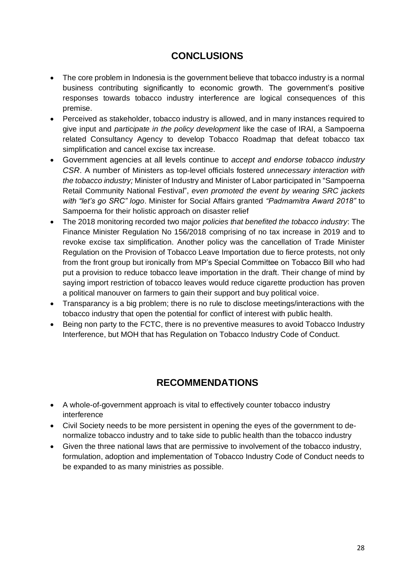# **CONCLUSIONS**

- <span id="page-29-0"></span>• The core problem in Indonesia is the government believe that tobacco industry is a normal business contributing significantly to economic growth. The government's positive responses towards tobacco industry interference are logical consequences of this premise.
- Perceived as stakeholder, tobacco industry is allowed, and in many instances required to give input and *participate in the policy development* like the case of IRAI, a Sampoerna related Consultancy Agency to develop Tobacco Roadmap that defeat tobacco tax simplification and cancel excise tax increase.
- Government agencies at all levels continue to *accept and endorse tobacco industry CSR*. A number of Ministers as top-level officials fostered *unnecessary interaction with the tobacco industry;* Minister of Industry and Minister of Labor participated in "Sampoerna Retail Community National Festival", *even promoted the event by wearing SRC jackets with "let's go SRC" logo*. Minister for Social Affairs granted *"Padmamitra Award 2018"* to Sampoerna for their holistic approach on disaster relief
- The 2018 monitoring recorded two major *policies that benefited the tobacco industry*: The Finance Minister Regulation No 156/2018 comprising of no tax increase in 2019 and to revoke excise tax simplification. Another policy was the cancellation of Trade Minister Regulation on the Provision of Tobacco Leave Importation due to fierce protests, not only from the front group but ironically from MP's Special Committee on Tobacco Bill who had put a provision to reduce tobacco leave importation in the draft. Their change of mind by saying import restriction of tobacco leaves would reduce cigarette production has proven a political manouver on farmers to gain their support and buy political voice.
- Transparancy is a big problem; there is no rule to disclose meetings/interactions with the tobacco industry that open the potential for conflict of interest with public health.
- Being non party to the FCTC, there is no preventive measures to avoid Tobacco Industry Interference, but MOH that has Regulation on Tobacco Industry Code of Conduct.

# **RECOMMENDATIONS**

- <span id="page-29-1"></span>• A whole-of-government approach is vital to effectively counter tobacco industry interference
- Civil Society needs to be more persistent in opening the eyes of the government to denormalize tobacco industry and to take side to public health than the tobacco industry
- Given the three national laws that are permissive to involvement of the tobacco industry, formulation, adoption and implementation of Tobacco Industry Code of Conduct needs to be expanded to as many ministries as possible.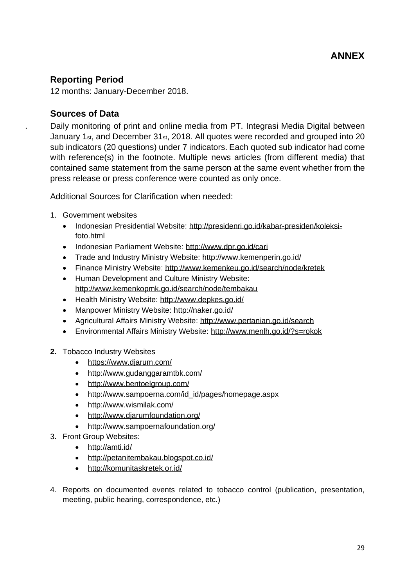# <span id="page-30-1"></span><span id="page-30-0"></span>**Reporting Period**

12 months: January-December 2018.

# <span id="page-30-2"></span>**Sources of Data**

. Daily monitoring of print and online media from PT. Integrasi Media Digital between January 1st, and December 31st, 2018. All quotes were recorded and grouped into 20 sub indicators (20 questions) under 7 indicators. Each quoted sub indicator had come with reference(s) in the footnote. Multiple news articles (from different media) that contained same statement from the same person at the same event whether from the press release or press conference were counted as only once.

Additional Sources for Clarification when needed:

- 1. Government websites
	- Indonesian Presidential Website: [http://presidenri.go.id/kabar-presiden/koleksi](http://presidenri.go.id/kabar-presiden/koleksi-foto.html)[foto.html](http://presidenri.go.id/kabar-presiden/koleksi-foto.html)
	- Indonesian Parliament Website:<http://www.dpr.go.id/cari>
	- Trade and Industry Ministry Website:<http://www.kemenperin.go.id/>
	- Finance Ministry Website:<http://www.kemenkeu.go.id/search/node/kretek>
	- Human Development and Culture Ministry Website: <http://www.kemenkopmk.go.id/search/node/tembakau>
	- Health Ministry Website:<http://www.depkes.go.id/>
	- Manpower Ministry Website:<http://naker.go.id/>
	- Agricultural Affairs Ministry Website:<http://www.pertanian.go.id/search>
	- Environmental Affairs Ministry Website:<http://www.menlh.go.id/?s=rokok>
- **2.** Tobacco Industry Websites
	- <https://www.djarum.com/>
	- <http://www.gudanggaramtbk.com/>
	- <http://www.bentoelgroup.com/>
	- [http://www.sampoerna.com/id\\_id/pages/homepage.aspx](http://www.sampoerna.com/id_id/pages/homepage.aspx)
	- <http://www.wismilak.com/>
	- <http://www.djarumfoundation.org/>
	- <http://www.sampoernafoundation.org/>
- 3. Front Group Websites:
	- <http://amti.id/>
	- <http://petanitembakau.blogspot.co.id/>
	- <http://komunitaskretek.or.id/>
- 4. Reports on documented events related to tobacco control (publication, presentation, meeting, public hearing, correspondence, etc.)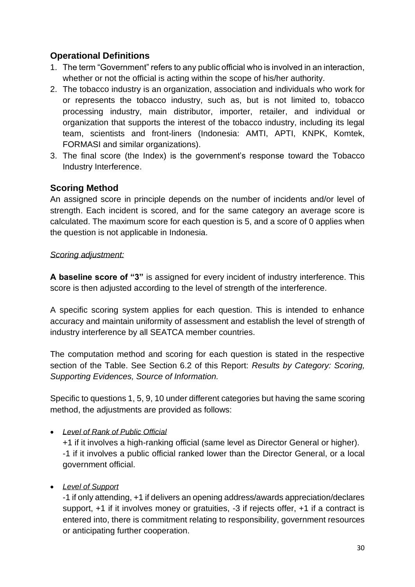# <span id="page-31-0"></span>**Operational Definitions**

- 1. The term "Government" refers to any public official who is involved in an interaction, whether or not the official is acting within the scope of his/her authority.
- 2. The tobacco industry is an organization, association and individuals who work for or represents the tobacco industry, such as, but is not limited to, tobacco processing industry, main distributor, importer, retailer, and individual or organization that supports the interest of the tobacco industry, including its legal team, scientists and front-liners (Indonesia: AMTI, APTI, KNPK, Komtek, FORMASI and similar organizations).
- 3. The final score (the Index) is the government's response toward the Tobacco Industry Interference.

# <span id="page-31-1"></span>**Scoring Method**

An assigned score in principle depends on the number of incidents and/or level of strength. Each incident is scored, and for the same category an average score is calculated. The maximum score for each question is 5, and a score of 0 applies when the question is not applicable in Indonesia.

# *Scoring adjustment:*

**A baseline score of "3"** is assigned for every incident of industry interference. This score is then adjusted according to the level of strength of the interference.

A specific scoring system applies for each question. This is intended to enhance accuracy and maintain uniformity of assessment and establish the level of strength of industry interference by all SEATCA member countries.

The computation method and scoring for each question is stated in the respective section of the Table. See Section 6.2 of this Report: *Results by Category: Scoring, Supporting Evidences, Source of Information.* 

Specific to questions 1, 5, 9, 10 under different categories but having the same scoring method, the adjustments are provided as follows:

# • *Level of Rank of Public Official*

+1 if it involves a high-ranking official (same level as Director General or higher). -1 if it involves a public official ranked lower than the Director General, or a local government official.

• *Level of Support* 

-1 if only attending, +1 if delivers an opening address/awards appreciation/declares support, +1 if it involves money or gratuities, -3 if rejects offer, +1 if a contract is entered into, there is commitment relating to responsibility, government resources or anticipating further cooperation.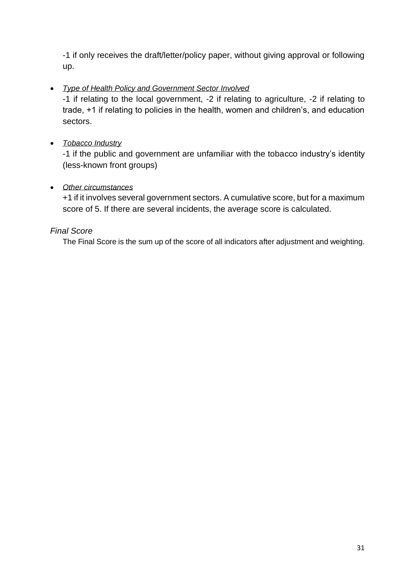-1 if only receives the draft/letter/policy paper, without giving approval or following up.

# • *Type of Health Policy and Government Sector Involved*

-1 if relating to the local government, -2 if relating to agriculture, -2 if relating to trade, +1 if relating to policies in the health, women and children's, and education sectors.

# • *Tobacco Industry*

-1 if the public and government are unfamiliar with the tobacco industry's identity (less-known front groups)

### • *Other circumstances*

+1 if it involves several government sectors. A cumulative score, but for a maximum score of 5. If there are several incidents, the average score is calculated.

### *Final Score*

The Final Score is the sum up of the score of all indicators after adjustment and weighting.